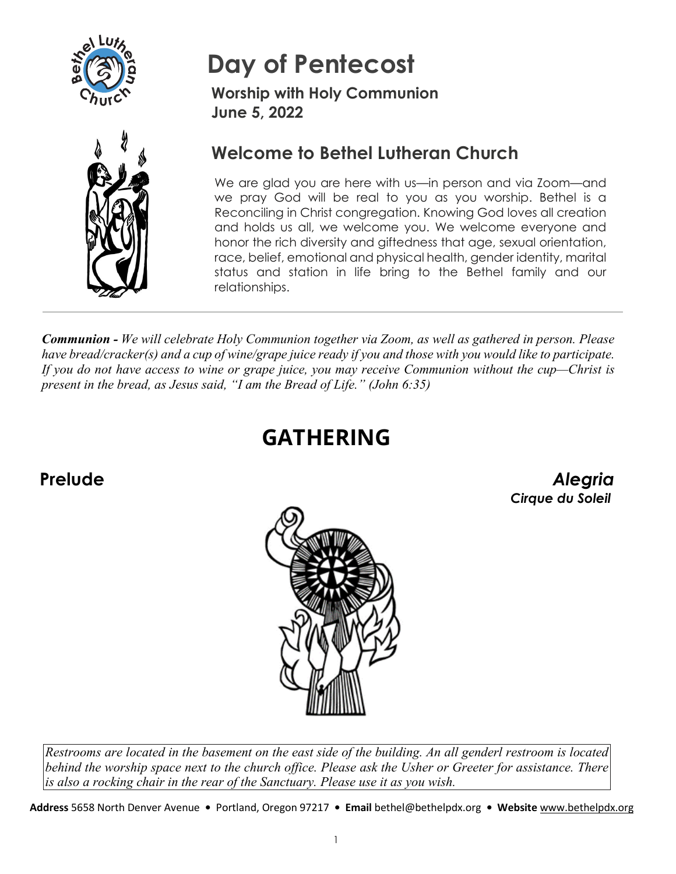



# **Day of Pentecost**

**Worship with Holy Communion June 5, 2022**

### **Welcome to Bethel Lutheran Church**

We are glad you are here with us—in person and via Zoom—and we pray God will be real to you as you worship. Bethel is a Reconciling in Christ congregation. Knowing God loves all creation and holds us all, we welcome you. We welcome everyone and honor the rich diversity and giftedness that age, sexual orientation, race, belief, emotional and physical health, gender identity, marital status and station in life bring to the Bethel family and our relationships.

*Communion - We will celebrate Holy Communion together via Zoom, as well as gathered in person. Please have bread/cracker(s) and a cup of wine/grape juice ready if you and those with you would like to participate. If you do not have access to wine or grape juice, you may receive Communion without the cup—Christ is present in the bread, as Jesus said, "I am the Bread of Life." (John 6:35)* 

# **GATHERING**

**Prelude** *Alegria Cirque du Soleil* 



*Restrooms are located in the basement on the east side of the building. An all genderl restroom is located behind the worship space next to the church office. Please ask the Usher or Greeter for assistance. There is also a rocking chair in the rear of the Sanctuary. Please use it as you wish.* 

**Address** 5658 North Denver Avenue **•** Portland, Oregon 97217 **• Email** bethel@bethelpdx.org **• Website** [www.bethelpdx.org](http://www.bethelpdx.org/)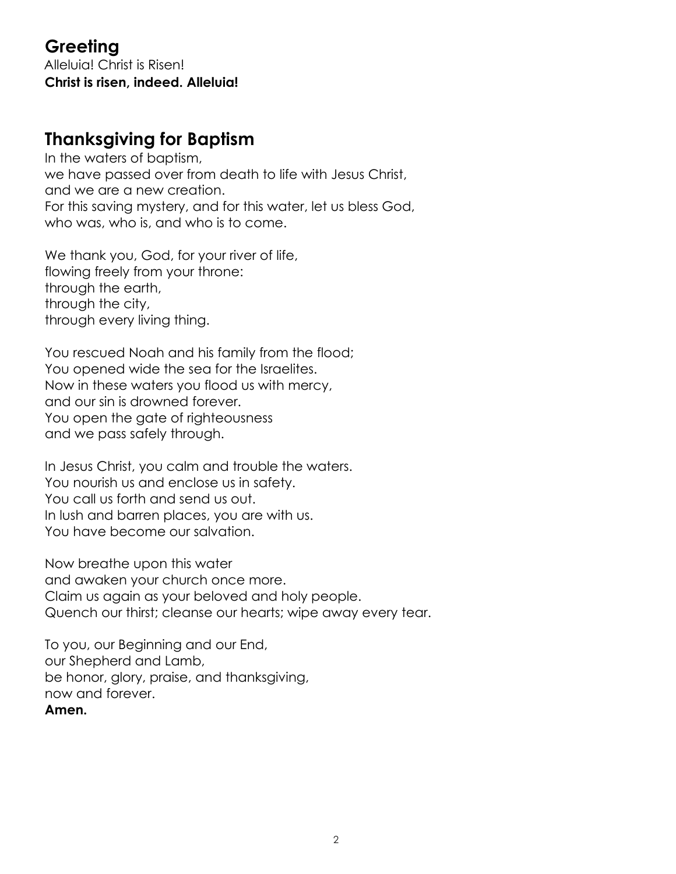#### **Greeting** Alleluia! Christ is Risen! **Christ is risen, indeed. Alleluia!**

### **Thanksgiving for Baptism**

In the waters of baptism, we have passed over from death to life with Jesus Christ, and we are a new creation. For this saving mystery, and for this water, let us bless God, who was, who is, and who is to come.

We thank you, God, for your river of life, flowing freely from your throne: through the earth, through the city, through every living thing.

You rescued Noah and his family from the flood; You opened wide the sea for the Israelites. Now in these waters you flood us with mercy, and our sin is drowned forever. You open the gate of righteousness and we pass safely through.

In Jesus Christ, you calm and trouble the waters. You nourish us and enclose us in safety. You call us forth and send us out. In lush and barren places, you are with us. You have become our salvation.

Now breathe upon this water and awaken your church once more. Claim us again as your beloved and holy people. Quench our thirst; cleanse our hearts; wipe away every tear.

To you, our Beginning and our End, our Shepherd and Lamb, be honor, glory, praise, and thanksgiving, now and forever. **Amen.**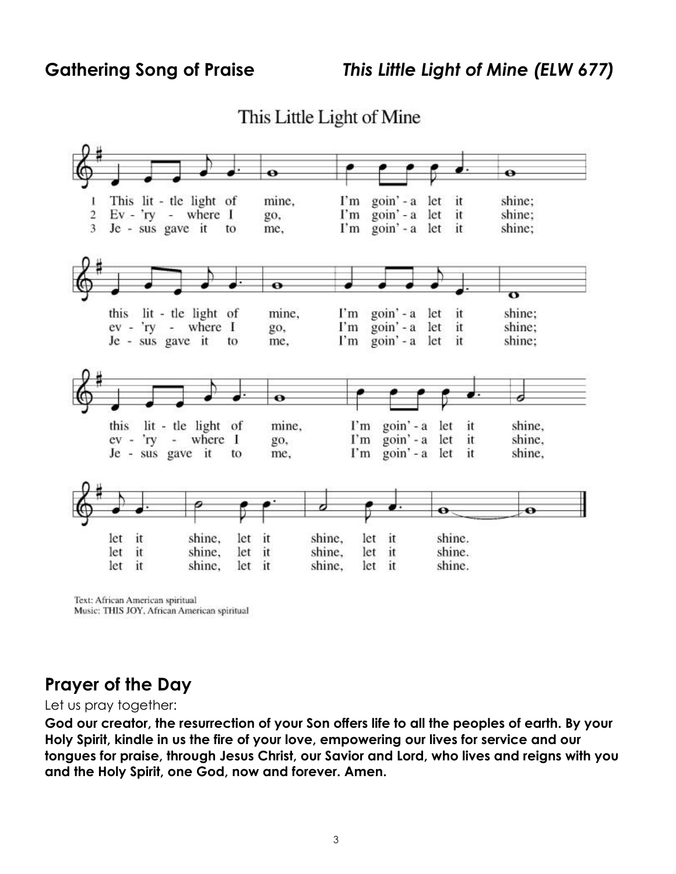This Little Light of Mine



Text: African American spiritual Music: THIS JOY, African American spiritual

#### **Prayer of the Day**

Let us pray together:

**God our creator, the resurrection of your Son offers life to all the peoples of earth. By your Holy Spirit, kindle in us the fire of your love, empowering our lives for service and our tongues for praise, through Jesus Christ, our Savior and Lord, who lives and reigns with you and the Holy Spirit, one God, now and forever. Amen.**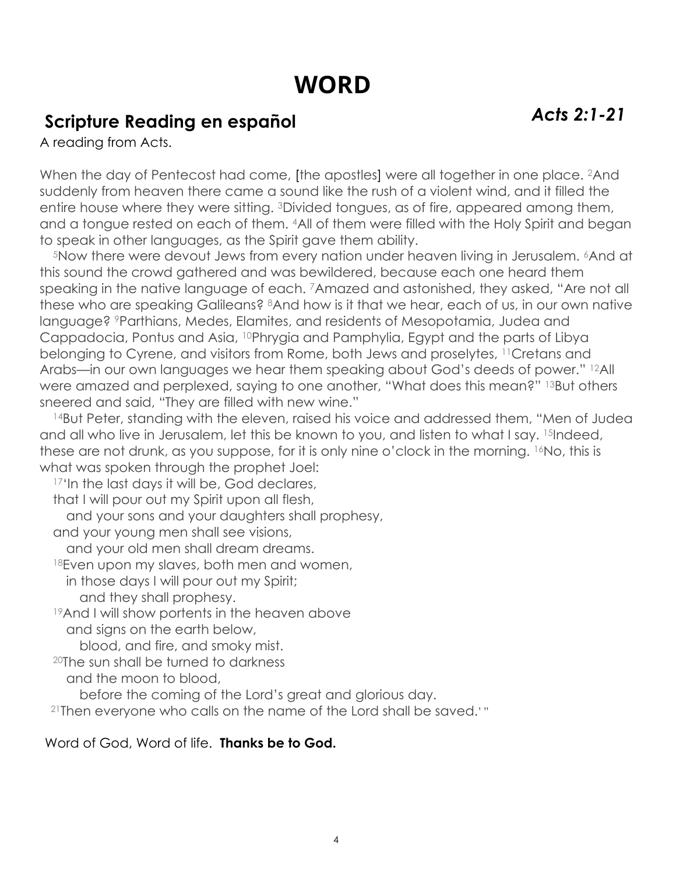# **WORD**

# **Scripture Reading en español** *Acts 2:1-21*

A reading from Acts.

When the day of Pentecost had come, [the apostles] were all together in one place. <sup>2</sup>And suddenly from heaven there came a sound like the rush of a violent wind, and it filled the entire house where they were sitting. 3Divided tongues, as of fire, appeared among them, and a tongue rested on each of them. 4All of them were filled with the Holy Spirit and began to speak in other languages, as the Spirit gave them ability.

<sup>5</sup>Now there were devout Jews from every nation under heaven living in Jerusalem. <sup>6</sup>And at this sound the crowd gathered and was bewildered, because each one heard them speaking in the native language of each. 7Amazed and astonished, they asked, "Are not all these who are speaking Galileans? 8And how is it that we hear, each of us, in our own native language? 9Parthians, Medes, Elamites, and residents of Mesopotamia, Judea and Cappadocia, Pontus and Asia, 10Phrygia and Pamphylia, Egypt and the parts of Libya belonging to Cyrene, and visitors from Rome, both Jews and proselytes, 11Cretans and Arabs—in our own languages we hear them speaking about God's deeds of power." 12All were amazed and perplexed, saying to one another, "What does this mean?" 13But others sneered and said, "They are filled with new wine."

14But Peter, standing with the eleven, raised his voice and addressed them, "Men of Judea and all who live in Jerusalem, let this be known to you, and listen to what I say. 15Indeed, these are not drunk, as you suppose, for it is only nine o'clock in the morning. 16No, this is what was spoken through the prophet Joel:

<sup>17'</sup>In the last days it will be, God declares,

that I will pour out my Spirit upon all flesh,

and your sons and your daughters shall prophesy,

and your young men shall see visions,

and your old men shall dream dreams.

18Even upon my slaves, both men and women,

in those days I will pour out my Spirit;

and they shall prophesy.

19And I will show portents in the heaven above

and signs on the earth below,

blood, and fire, and smoky mist.

20The sun shall be turned to darkness

and the moon to blood,

before the coming of the Lord's great and glorious day.

21Then everyone who calls on the name of the Lord shall be saved.' "

#### Word of God, Word of life. **Thanks be to God.**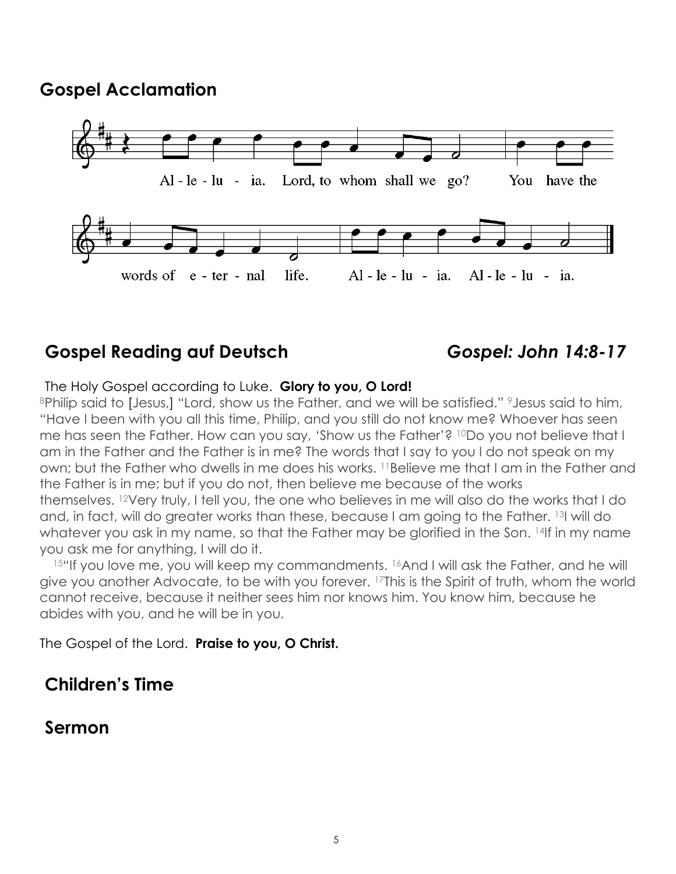#### **Gospel Acclamation**



### **Gospel Reading auf Deutsch** *Gospel: John 14:8-17*

#### The Holy Gospel according to Luke. **Glory to you, O Lord!**

8Philip said to [Jesus,] "Lord, show us the Father, and we will be satisfied." 9 Jesus said to him, "Have I been with you all this time, Philip, and you still do not know me? Whoever has seen me has seen the Father. How can you say, 'Show us the Father'? <sup>10</sup>Do you not believe that I am in the Father and the Father is in me? The words that I say to you I do not speak on my own; but the Father who dwells in me does his works. 11Believe me that I am in the Father and the Father is in me; but if you do not, then believe me because of the works themselves. 12Very truly, I tell you, the one who believes in me will also do the works that I do and, in fact, will do greater works than these, because I am going to the Father. 13I will do whatever you ask in my name, so that the Father may be glorified in the Son. 14If in my name you ask me for anything, I will do it.

15"If you love me, you will keep my commandments. 16And I will ask the Father, and he will give you another Advocate, to be with you forever. <sup>17</sup>This is the Spirit of truth, whom the world cannot receive, because it neither sees him nor knows him. You know him, because he abides with you, and he will be in you.

The Gospel of the Lord. **Praise to you, O Christ.** 

#### **Children's Time**

#### **Sermon**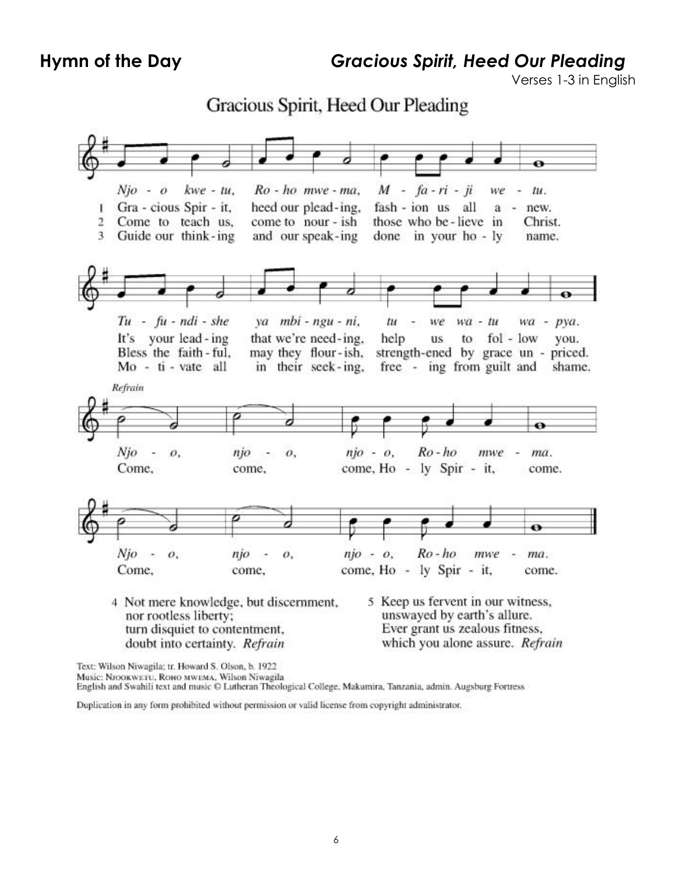Ľ

 $\overline{2}$ 

3

**Hymn of the Day** *Gracious Spirit, Heed Our Pleading*

Verses 1-3 in English

shame.

Gracious Spirit, Heed Our Pleading kwe - tu,  $M - fa - ri - ji$  $Njo - o$  $Ro$  - ho mwe - ma. we tu. Gra - cious Spir - it, fash - ion us all heed our plead-ing, new. a Come to teach us. come to nour - ish those who be-lieve in Christ. Guide our think-ing and our speak-ing done in your ho - ly name.  $Tu - fu - ndi - she$ ya mbi - ngu - ni, tu  $wa - tu$ we  $wa - pya$ . fol - low It's your lead - ing that we're need-ing, help **us** to vou. Bless the faith-ful. may they flour-ish, strength-ened by grace un - priced. in their seek-ing, Mo - ti - vate all free - ing from guilt and

Refrain ø Njo  $n\ni o - o$ .  $Ro$  -  $ho$  $\overline{\phantom{a}}$ njo  $mwe -$ 0, ÷ 0. ma. Come. come. come, Ho - ly Spir - it, come. ⇔  $Njo - o$ ,  $n\ni$  - $\overline{o}$ .  $nio - o.$  $Ro$  - ho mwe ma. come, Ho - ly Spir - it, Come, come, come. 5 Keep us fervent in our witness, 4 Not mere knowledge, but discernment,

nor rootless liberty; turn disquiet to contentment, doubt into certainty. Refrain

unswayed by earth's allure. Ever grant us zealous fitness, which you alone assure. Refrain

Text: Wilson Niwagila; tr. Howard S. Olson, b. 1922

Music: NJOOKWETU, ROHO MWEMA, Wilson Niwagila

English and Swahili text and music © Lutheran Theological College, Makumira, Tanzania, admin. Augsburg Fortress

Duplication in any form prohibited without permission or valid license from copyright administrator.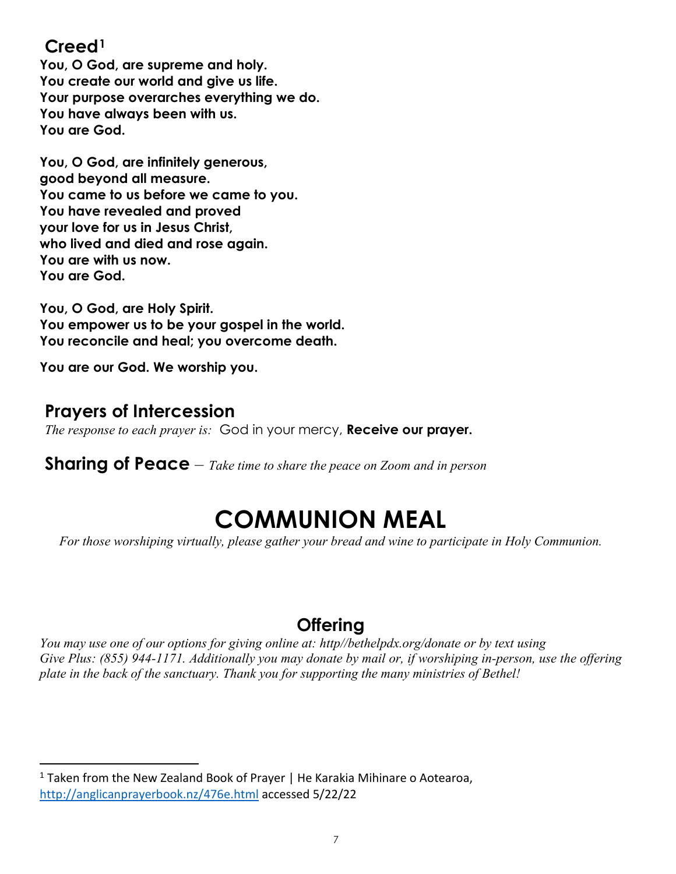#### **Creed[1](#page-6-0)**

**You, O God, are supreme and holy. You create our world and give us life. Your purpose overarches everything we do. You have always been with us. You are God.** 

**You, O God, are infinitely generous, good beyond all measure. You came to us before we came to you. You have revealed and proved your love for us in Jesus Christ, who lived and died and rose again. You are with us now. You are God.** 

**You, O God, are Holy Spirit. You empower us to be your gospel in the world. You reconcile and heal; you overcome death.** 

**You are our God. We worship you.** 

#### **Prayers of Intercession**

*The response to each prayer is:* God in your mercy, **Receive our prayer.** 

**Sharing of Peace** – *Take time to share the peace on Zoom and in person*

# **COMMUNION MEAL**

*For those worshiping virtually, please gather your bread and wine to participate in Holy Communion.* 

### **Offering**

*You may use one of our options for giving online at: http//bethelpdx.org/donate or by text using Give Plus: (855) 944-1171. Additionally you may donate by mail or, if worshiping in-person, use the offering plate in the back of the sanctuary. Thank you for supporting the many ministries of Bethel!* 

<span id="page-6-0"></span> $1$  Taken from the New Zealand Book of Prayer | He Karakia Mihinare o Aotearoa, <http://anglicanprayerbook.nz/476e.html> accessed 5/22/22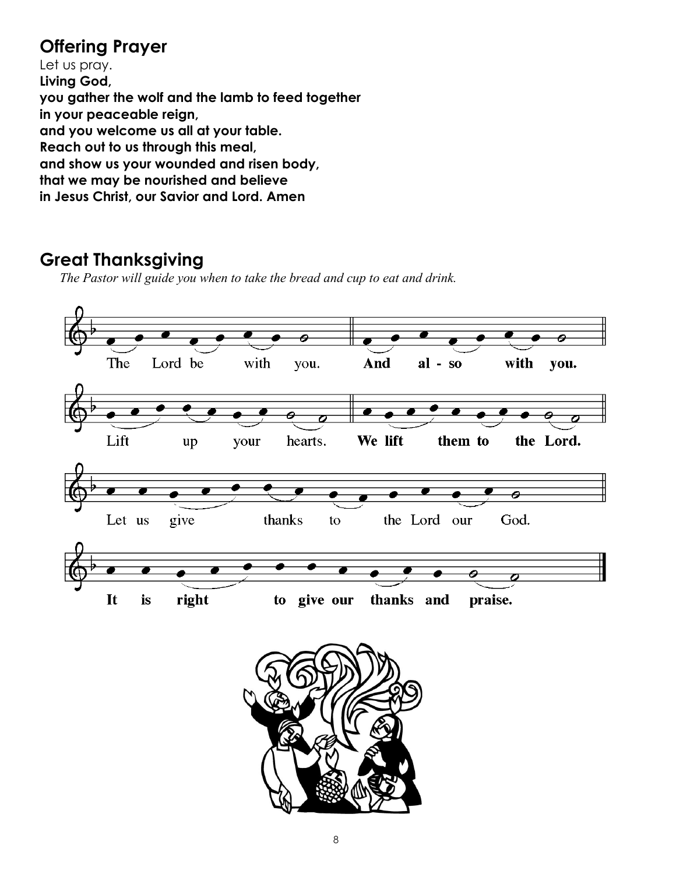### **Offering Prayer**

Let us pray. **Living God, you gather the wolf and the lamb to feed together in your peaceable reign, and you welcome us all at your table. Reach out to us through this meal, and show us your wounded and risen body, that we may be nourished and believe in Jesus Christ, our Savior and Lord. Amen**

### **Great Thanksgiving**

*The Pastor will guide you when to take the bread and cup to eat and drink.*

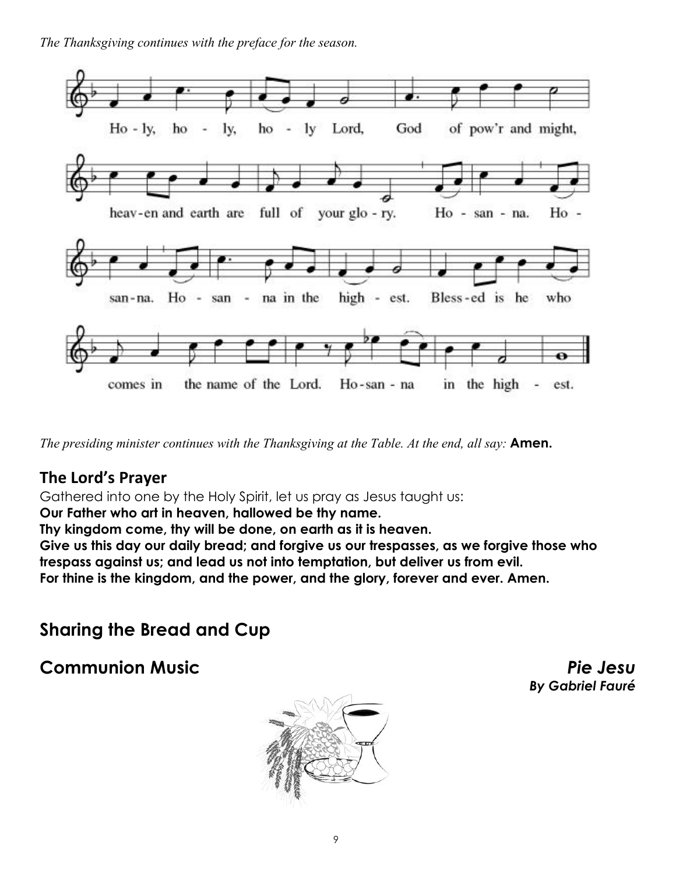*The Thanksgiving continues with the preface for the season.* 



*The presiding minister continues with the Thanksgiving at the Table. At the end, all say:* **Amen.** 

#### **The Lord's Prayer**

Gathered into one by the Holy Spirit, let us pray as Jesus taught us:

**Our Father who art in heaven, hallowed be thy name.**

**Thy kingdom come, thy will be done, on earth as it is heaven.**

**Give us this day our daily bread; and forgive us our trespasses, as we forgive those who trespass against us; and lead us not into temptation, but deliver us from evil. For thine is the kingdom, and the power, and the glory, forever and ever. Amen.**

### **Sharing the Bread and Cup**



**Communion Music** *Pie Jesu By Gabriel Fauré*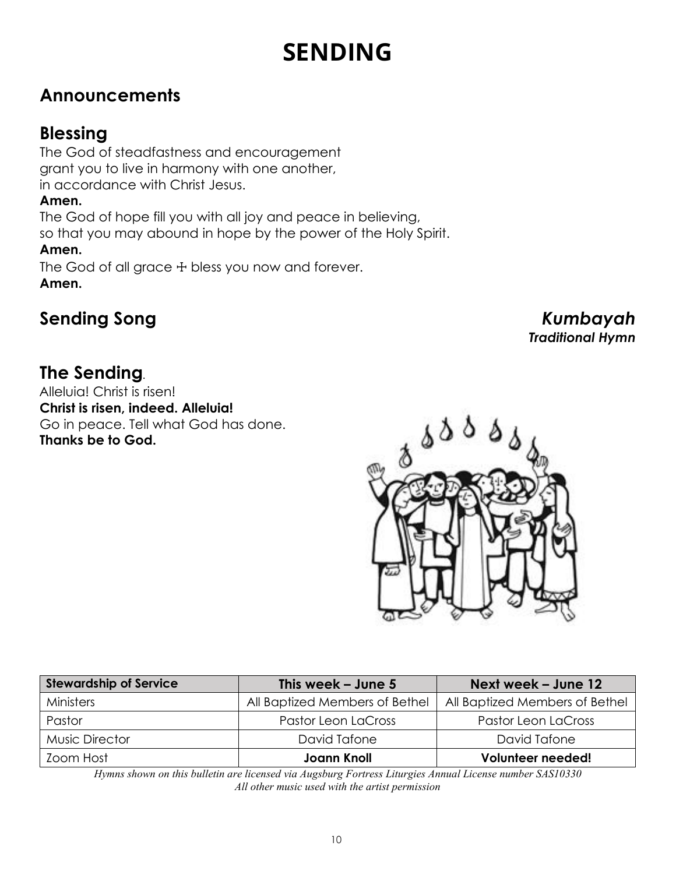# **SENDING**

### **Announcements**

#### **Blessing**

The God of steadfastness and encouragement grant you to live in harmony with one another, in accordance with Christ Jesus.

#### **Amen.**

The God of hope fill you with all joy and peace in believing,

so that you may abound in hope by the power of the Holy Spirit.

#### **Amen.**

The God of all grace  $+$  bless you now and forever. **Amen.**

## **Sending Song** *Kumbayah*

*Traditional Hymn* 

### **The Sending***.*

Alleluia! Christ is risen! **Christ is risen, indeed. Alleluia!**  Go in peace. Tell what God has done. **Thanks be to God.** 



| <b>Stewardship of Service</b> | This week $-$ June 5           | Next week - June 12            |
|-------------------------------|--------------------------------|--------------------------------|
| Ministers                     | All Baptized Members of Bethel | All Baptized Members of Bethel |
| Pastor                        | Pastor Leon LaCross            | Pastor Leon LaCross            |
| <b>Music Director</b>         | David Tafone                   | David Tafone                   |
| Zoom Host                     | <b>Joann Knoll</b>             | Volunteer needed!              |

*Hymns shown on this bulletin are licensed via Augsburg Fortress Liturgies Annual License number SAS10330 All other music used with the artist permission*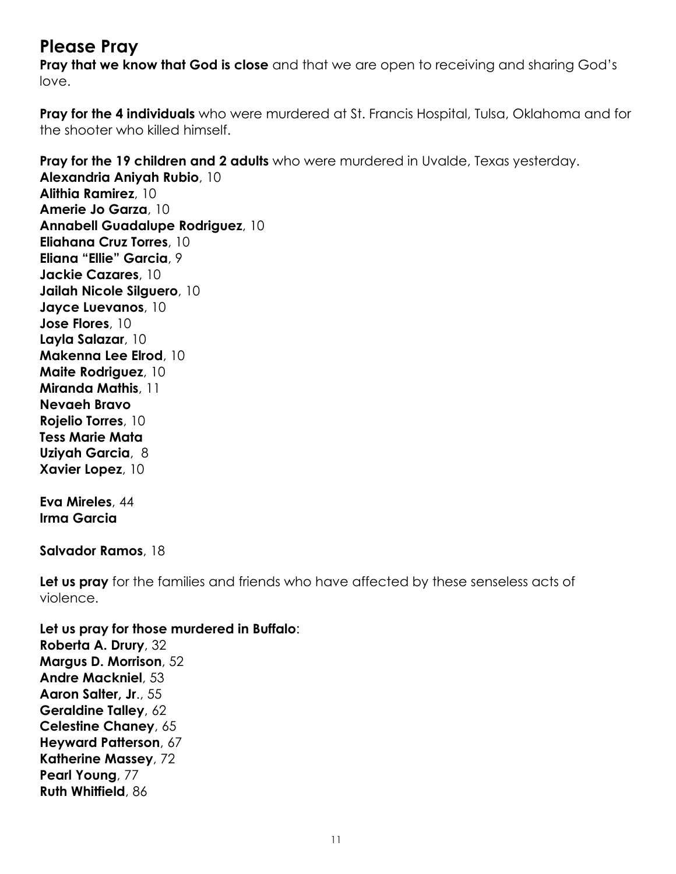#### **Please Pray**

**Pray that we know that God is close** and that we are open to receiving and sharing God's love.

**Pray for the 4 individuals** who were murdered at St. Francis Hospital, Tulsa, Oklahoma and for the shooter who killed himself.

**Pray for the 19 children and 2 adults** who were murdered in Uvalde, Texas yesterday. **Alexandria Aniyah Rubio**, 10 **Alithia Ramirez**, 10 **Amerie Jo Garza**, 10 **Annabell Guadalupe Rodriguez**, 10 **Eliahana Cruz Torres**, 10 **Eliana "Ellie" Garcia**, 9 **Jackie Cazares**, 10 **Jailah Nicole Silguero**, 10 **Jayce Luevanos**, 10 **Jose Flores**, 10 **Layla Salazar**, 10 **Makenna Lee Elrod**, 10 **Maite Rodriguez**, 10 **Miranda Mathis**, 11 **Nevaeh Bravo Rojelio Torres**, 10 **Tess Marie Mata Uziyah Garcia**, 8 **Xavier Lopez**, 10 **Eva Mireles**, 44 **Irma Garcia Salvador Ramos**, 18 Let us pray for the families and friends who have affected by these senseless acts of

violence.

**Let us pray for those murdered in Buffalo**: **Roberta A. Drury**, 32 **Margus D. Morrison**, 52 **Andre Mackniel**, 53 **Aaron Salter, Jr**., 55 **Geraldine Talley**, 62 **Celestine Chaney**, 65 **Heyward Patterson**, 67 **Katherine Massey**, 72 **Pearl Young**, 77 **Ruth Whitfield**, 86